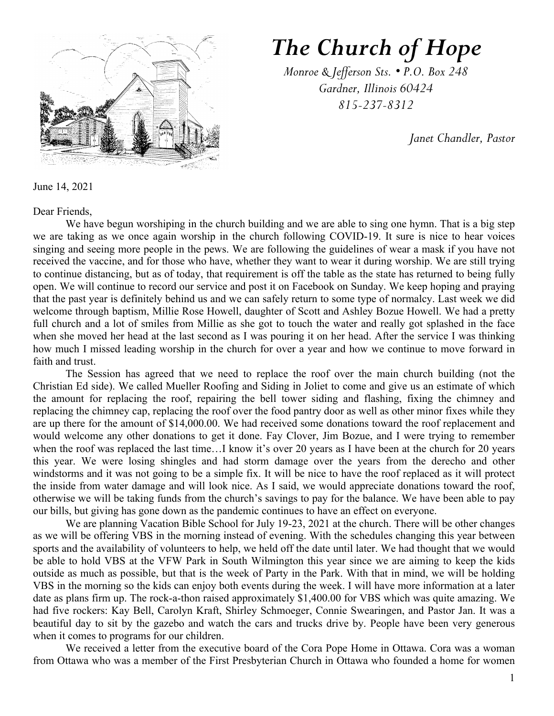

## *The Church of Hope*

*Monroe & Jefferson Sts. • P.O. Box 248 Gardner, Illinois 60424 815-237-8312*

*Janet Chandler, Pastor*

June 14, 2021

Dear Friends,

We have begun worshiping in the church building and we are able to sing one hymn. That is a big step we are taking as we once again worship in the church following COVID-19. It sure is nice to hear voices singing and seeing more people in the pews. We are following the guidelines of wear a mask if you have not received the vaccine, and for those who have, whether they want to wear it during worship. We are still trying to continue distancing, but as of today, that requirement is off the table as the state has returned to being fully open. We will continue to record our service and post it on Facebook on Sunday. We keep hoping and praying that the past year is definitely behind us and we can safely return to some type of normalcy. Last week we did welcome through baptism, Millie Rose Howell, daughter of Scott and Ashley Bozue Howell. We had a pretty full church and a lot of smiles from Millie as she got to touch the water and really got splashed in the face when she moved her head at the last second as I was pouring it on her head. After the service I was thinking how much I missed leading worship in the church for over a year and how we continue to move forward in faith and trust.

The Session has agreed that we need to replace the roof over the main church building (not the Christian Ed side). We called Mueller Roofing and Siding in Joliet to come and give us an estimate of which the amount for replacing the roof, repairing the bell tower siding and flashing, fixing the chimney and replacing the chimney cap, replacing the roof over the food pantry door as well as other minor fixes while they are up there for the amount of \$14,000.00. We had received some donations toward the roof replacement and would welcome any other donations to get it done. Fay Clover, Jim Bozue, and I were trying to remember when the roof was replaced the last time...I know it's over 20 years as I have been at the church for 20 years this year. We were losing shingles and had storm damage over the years from the derecho and other windstorms and it was not going to be a simple fix. It will be nice to have the roof replaced as it will protect the inside from water damage and will look nice. As I said, we would appreciate donations toward the roof, otherwise we will be taking funds from the church's savings to pay for the balance. We have been able to pay our bills, but giving has gone down as the pandemic continues to have an effect on everyone.

We are planning Vacation Bible School for July 19-23, 2021 at the church. There will be other changes as we will be offering VBS in the morning instead of evening. With the schedules changing this year between sports and the availability of volunteers to help, we held off the date until later. We had thought that we would be able to hold VBS at the VFW Park in South Wilmington this year since we are aiming to keep the kids outside as much as possible, but that is the week of Party in the Park. With that in mind, we will be holding VBS in the morning so the kids can enjoy both events during the week. I will have more information at a later date as plans firm up. The rock-a-thon raised approximately \$1,400.00 for VBS which was quite amazing. We had five rockers: Kay Bell, Carolyn Kraft, Shirley Schmoeger, Connie Swearingen, and Pastor Jan. It was a beautiful day to sit by the gazebo and watch the cars and trucks drive by. People have been very generous when it comes to programs for our children.

We received a letter from the executive board of the Cora Pope Home in Ottawa. Cora was a woman from Ottawa who was a member of the First Presbyterian Church in Ottawa who founded a home for women